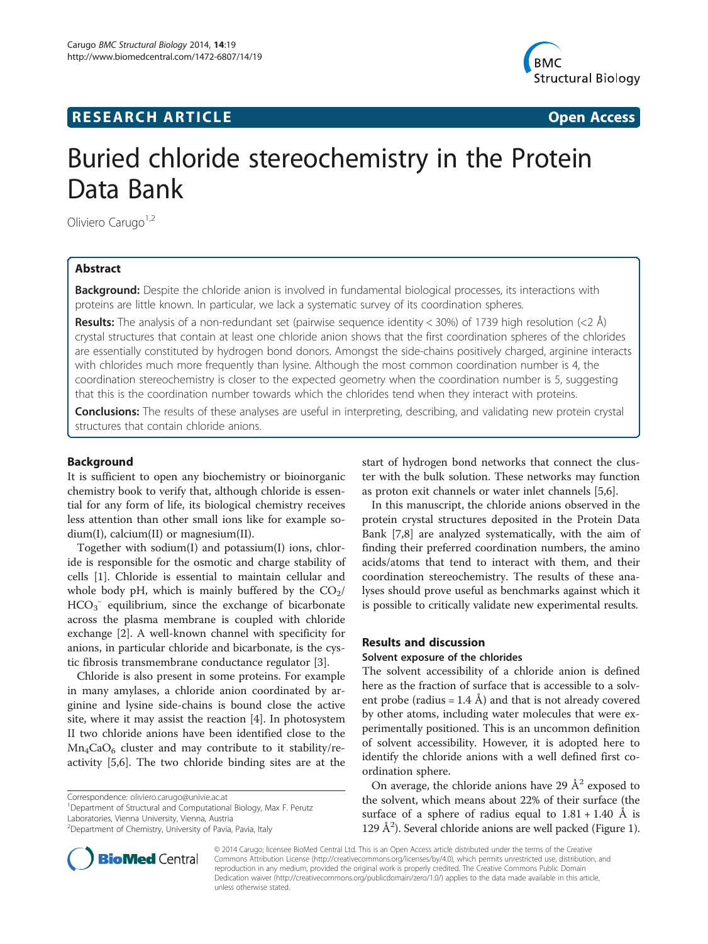## **RESEARCH ARTICLE Example 2014 CONSIDERING A RESEARCH ARTICLE**



# Buried chloride stereochemistry in the Protein Data Bank

Oliviero Carugo<sup>1,2</sup>

## Abstract

**Background:** Despite the chloride anion is involved in fundamental biological processes, its interactions with proteins are little known. In particular, we lack a systematic survey of its coordination spheres.

**Results:** The analysis of a non-redundant set (pairwise sequence identity < 30%) of 1739 high resolution (<2 Å) crystal structures that contain at least one chloride anion shows that the first coordination spheres of the chlorides are essentially constituted by hydrogen bond donors. Amongst the side-chains positively charged, arginine interacts with chlorides much more frequently than lysine. Although the most common coordination number is 4, the coordination stereochemistry is closer to the expected geometry when the coordination number is 5, suggesting that this is the coordination number towards which the chlorides tend when they interact with proteins.

Conclusions: The results of these analyses are useful in interpreting, describing, and validating new protein crystal structures that contain chloride anions.

#### Background

It is sufficient to open any biochemistry or bioinorganic chemistry book to verify that, although chloride is essential for any form of life, its biological chemistry receives less attention than other small ions like for example sodium(I), calcium(II) or magnesium(II).

Together with sodium(I) and potassium(I) ions, chloride is responsible for the osmotic and charge stability of cells [\[1](#page-6-0)]. Chloride is essential to maintain cellular and whole body pH, which is mainly buffered by the  $CO<sub>2</sub>/$  $HCO_3^-$  equilibrium, since the exchange of bicarbonate across the plasma membrane is coupled with chloride exchange [\[2](#page-6-0)]. A well-known channel with specificity for anions, in particular chloride and bicarbonate, is the cystic fibrosis transmembrane conductance regulator [\[3](#page-6-0)].

Chloride is also present in some proteins. For example in many amylases, a chloride anion coordinated by arginine and lysine side-chains is bound close the active site, where it may assist the reaction [[4](#page-6-0)]. In photosystem II two chloride anions have been identified close to the  $Mn_4CaO_6$  cluster and may contribute to it stability/reactivity [\[5,6](#page-6-0)]. The two chloride binding sites are at the

Correspondence: [oliviero.carugo@univie.ac.at](mailto:oliviero.carugo@univie.ac.at) <sup>1</sup>

<sup>1</sup>Department of Structural and Computational Biology, Max F. Perutz Laboratories, Vienna University, Vienna, Austria

start of hydrogen bond networks that connect the cluster with the bulk solution. These networks may function as proton exit channels or water inlet channels [\[5,6](#page-6-0)].

In this manuscript, the chloride anions observed in the protein crystal structures deposited in the Protein Data Bank [[7,8\]](#page-6-0) are analyzed systematically, with the aim of finding their preferred coordination numbers, the amino acids/atoms that tend to interact with them, and their coordination stereochemistry. The results of these analyses should prove useful as benchmarks against which it is possible to critically validate new experimental results.

## Results and discussion

#### Solvent exposure of the chlorides

The solvent accessibility of a chloride anion is defined here as the fraction of surface that is accessible to a solvent probe (radius = 1.4 Å) and that is not already covered by other atoms, including water molecules that were experimentally positioned. This is an uncommon definition of solvent accessibility. However, it is adopted here to identify the chloride anions with a well defined first coordination sphere.

On average, the chloride anions have 29  $\AA^2$  exposed to the solvent, which means about 22% of their surface (the surface of a sphere of radius equal to  $1.81 + 1.40$  Å is 129 Å<sup>2</sup>). Several chloride anions are well packed (Figure [1](#page-1-0)).

© 2014 Carugo; licensee BioMed Central Ltd. This is an Open Access article distributed under the terms of the Creative Commons Attribution License [\(http://creativecommons.org/licenses/by/4.0\)](http://creativecommons.org/licenses/by/4.0), which permits unrestricted use, distribution, and reproduction in any medium, provided the original work is properly credited. The Creative Commons Public Domain Dedication waiver [\(http://creativecommons.org/publicdomain/zero/1.0/](http://creativecommons.org/publicdomain/zero/1.0/)) applies to the data made available in this article, unless otherwise stated.



<sup>&</sup>lt;sup>2</sup>Department of Chemistry, University of Pavia, Pavia, Italy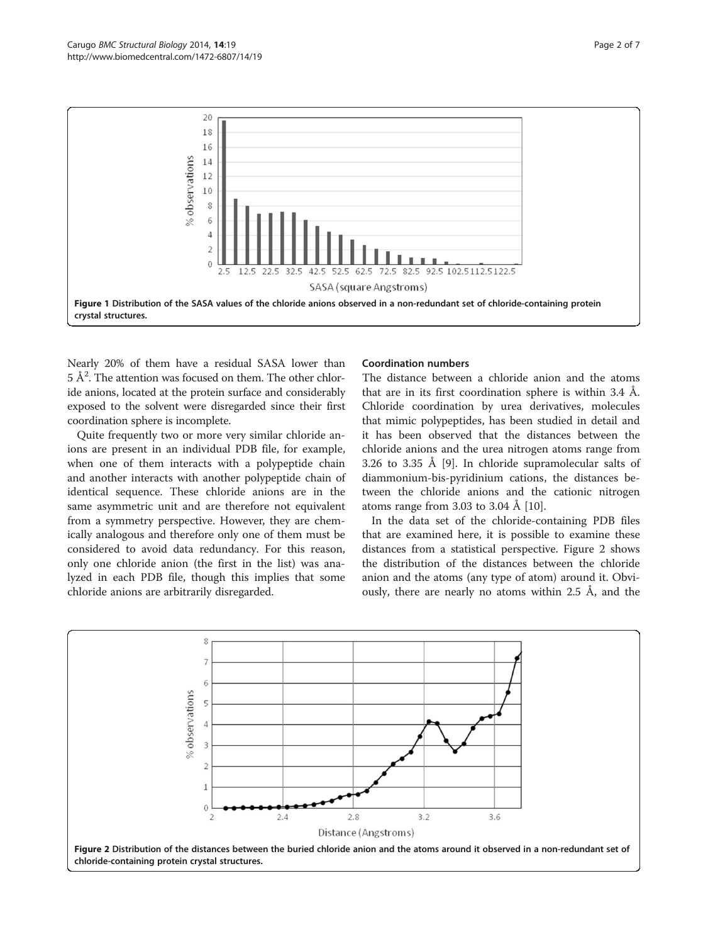<span id="page-1-0"></span>

Nearly 20% of them have a residual SASA lower than  $5 \text{ Å}^2$ . The attention was focused on them. The other chloride anions, located at the protein surface and considerably exposed to the solvent were disregarded since their first coordination sphere is incomplete.

Quite frequently two or more very similar chloride anions are present in an individual PDB file, for example, when one of them interacts with a polypeptide chain and another interacts with another polypeptide chain of identical sequence. These chloride anions are in the same asymmetric unit and are therefore not equivalent from a symmetry perspective. However, they are chemically analogous and therefore only one of them must be considered to avoid data redundancy. For this reason, only one chloride anion (the first in the list) was analyzed in each PDB file, though this implies that some chloride anions are arbitrarily disregarded.

#### Coordination numbers

The distance between a chloride anion and the atoms that are in its first coordination sphere is within 3.4 Å. Chloride coordination by urea derivatives, molecules that mimic polypeptides, has been studied in detail and it has been observed that the distances between the chloride anions and the urea nitrogen atoms range from 3.26 to 3.35 Å [[9\]](#page-6-0). In chloride supramolecular salts of diammonium-bis-pyridinium cations, the distances between the chloride anions and the cationic nitrogen atoms range from 3.03 to 3.04 Å [[10](#page-6-0)].

In the data set of the chloride-containing PDB files that are examined here, it is possible to examine these distances from a statistical perspective. Figure 2 shows the distribution of the distances between the chloride anion and the atoms (any type of atom) around it. Obviously, there are nearly no atoms within 2.5 Å, and the

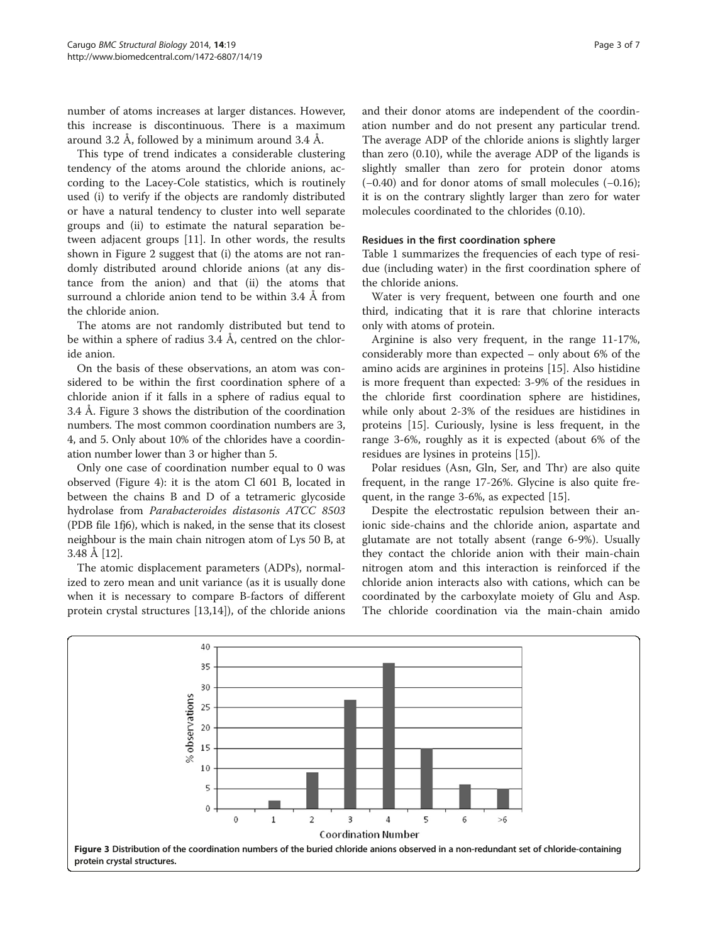number of atoms increases at larger distances. However, this increase is discontinuous. There is a maximum around 3.2 Å, followed by a minimum around 3.4 Å.

This type of trend indicates a considerable clustering tendency of the atoms around the chloride anions, according to the Lacey-Cole statistics, which is routinely used (i) to verify if the objects are randomly distributed or have a natural tendency to cluster into well separate groups and (ii) to estimate the natural separation between adjacent groups [[11\]](#page-6-0). In other words, the results shown in Figure [2](#page-1-0) suggest that (i) the atoms are not randomly distributed around chloride anions (at any distance from the anion) and that (ii) the atoms that surround a chloride anion tend to be within 3.4 Å from the chloride anion.

The atoms are not randomly distributed but tend to be within a sphere of radius 3.4 Å, centred on the chloride anion.

On the basis of these observations, an atom was considered to be within the first coordination sphere of a chloride anion if it falls in a sphere of radius equal to 3.4 Å. Figure 3 shows the distribution of the coordination numbers. The most common coordination numbers are 3, 4, and 5. Only about 10% of the chlorides have a coordination number lower than 3 or higher than 5.

Only one case of coordination number equal to 0 was observed (Figure [4\)](#page-3-0): it is the atom Cl 601 B, located in between the chains B and D of a tetrameric glycoside hydrolase from Parabacteroides distasonis ATCC 8503 (PDB file 1fj6), which is naked, in the sense that its closest neighbour is the main chain nitrogen atom of Lys 50 B, at 3.48 Å [\[12](#page-6-0)].

The atomic displacement parameters (ADPs), normalized to zero mean and unit variance (as it is usually done when it is necessary to compare B-factors of different protein crystal structures [\[13,14](#page-6-0)]), of the chloride anions and their donor atoms are independent of the coordination number and do not present any particular trend. The average ADP of the chloride anions is slightly larger than zero (0.10), while the average ADP of the ligands is slightly smaller than zero for protein donor atoms (−0.40) and for donor atoms of small molecules (−0.16); it is on the contrary slightly larger than zero for water molecules coordinated to the chlorides (0.10).

### Residues in the first coordination sphere

Table [1](#page-3-0) summarizes the frequencies of each type of residue (including water) in the first coordination sphere of the chloride anions.

Water is very frequent, between one fourth and one third, indicating that it is rare that chlorine interacts only with atoms of protein.

Arginine is also very frequent, in the range 11-17%, considerably more than expected – only about 6% of the amino acids are arginines in proteins [[15](#page-6-0)]. Also histidine is more frequent than expected: 3-9% of the residues in the chloride first coordination sphere are histidines, while only about 2-3% of the residues are histidines in proteins [\[15\]](#page-6-0). Curiously, lysine is less frequent, in the range 3-6%, roughly as it is expected (about 6% of the residues are lysines in proteins [\[15](#page-6-0)]).

Polar residues (Asn, Gln, Ser, and Thr) are also quite frequent, in the range 17-26%. Glycine is also quite frequent, in the range 3-6%, as expected [\[15](#page-6-0)].

Despite the electrostatic repulsion between their anionic side-chains and the chloride anion, aspartate and glutamate are not totally absent (range 6-9%). Usually they contact the chloride anion with their main-chain nitrogen atom and this interaction is reinforced if the chloride anion interacts also with cations, which can be coordinated by the carboxylate moiety of Glu and Asp. The chloride coordination via the main-chain amido

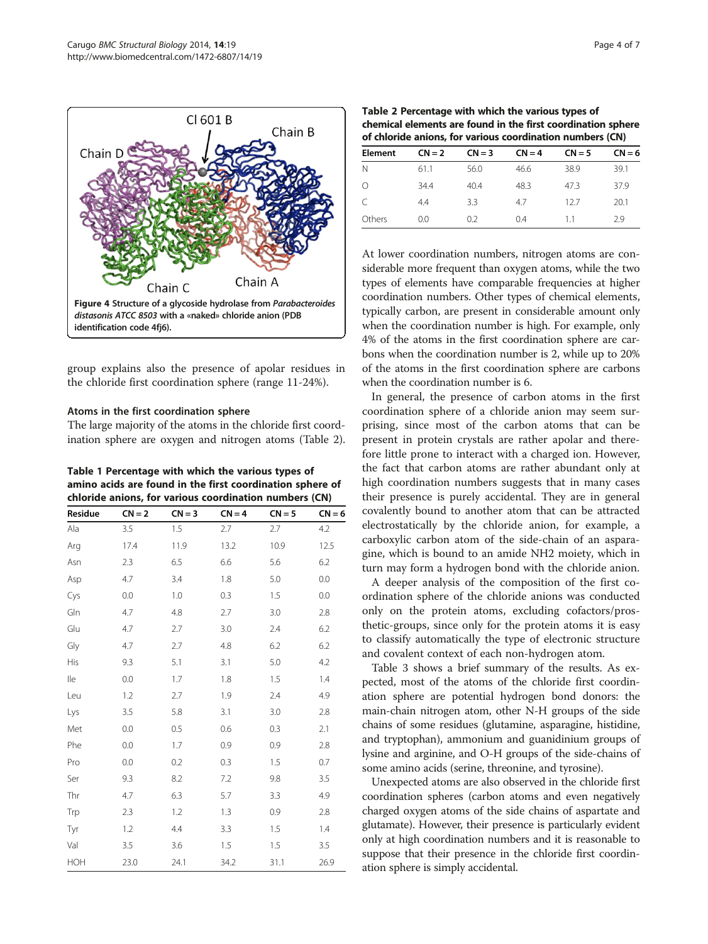<span id="page-3-0"></span>

group explains also the presence of apolar residues in the chloride first coordination sphere (range 11-24%).

#### Atoms in the first coordination sphere

The large majority of the atoms in the chloride first coordination sphere are oxygen and nitrogen atoms (Table 2).

Table 1 Percentage with which the various types of amino acids are found in the first coordination sphere of chloride anions, for various coordination numbers (CN)

| Residue | $CN = 2$ | $CN = 3$ | $CN = 4$ | $CN = 5$ | $CN = 6$ |
|---------|----------|----------|----------|----------|----------|
| Ala     | 3.5      | 1.5      | 2.7      | 2.7      | 4.2      |
| Arg     | 17.4     | 11.9     | 13.2     | 10.9     | 12.5     |
| Asn     | 2.3      | 6.5      | 6.6      | 5.6      | 6.2      |
| Asp     | 4.7      | 3.4      | 1.8      | 5.0      | 0.0      |
| Cys     | 0.0      | 1.0      | 0.3      | 1.5      | 0.0      |
| Gln     | 4.7      | 4.8      | 2.7      | 3.0      | 2.8      |
| Glu     | 4.7      | 2.7      | 3.0      | 2.4      | 6.2      |
| Gly     | 4.7      | 2.7      | 4.8      | 6.2      | 6.2      |
| His     | 9.3      | 5.1      | 3.1      | 5.0      | 4.2      |
| lle     | 0.0      | 1.7      | 1.8      | 1.5      | 1.4      |
| Leu     | 1.2      | 2.7      | 1.9      | 2.4      | 4.9      |
| Lys     | 3.5      | 5.8      | 3.1      | 3.0      | 2.8      |
| Met     | 0.0      | 0.5      | 0.6      | 0.3      | 2.1      |
| Phe     | 0.0      | 1.7      | 0.9      | 0.9      | 2.8      |
| Pro     | 0.0      | 0.2      | 0.3      | 1.5      | 0.7      |
| Ser     | 9.3      | 8.2      | 7.2      | 9.8      | 3.5      |
| Thr     | 4.7      | 6.3      | 5.7      | 3.3      | 4.9      |
| Trp     | 2.3      | 1.2      | 1.3      | 0.9      | 2.8      |
| Tyr     | 1.2      | 4.4      | 3.3      | 1.5      | 1.4      |
| Val     | 3.5      | 3.6      | 1.5      | 1.5      | 3.5      |
| HOH     | 23.0     | 24.1     | 34.2     | 31.1     | 26.9     |

Table 2 Percentage with which the various types of chemical elements are found in the first coordination sphere of chloride anions, for various coordination numbers (CN)

| <u>U CHUING ANDIUS, IUI VANUUS CUULUNIAIUSI NANNUCIS (CIV)</u> |          |          |          |          |  |
|----------------------------------------------------------------|----------|----------|----------|----------|--|
| $CN = 2$                                                       | $CN = 3$ | $CN = 4$ | $CN = 5$ | $CN = 6$ |  |
| 61.1                                                           | 56.0     | 46.6     | 38.9     | 39.1     |  |
| 34.4                                                           | 40.4     | 48.3     | 473      | 37.9     |  |
| 4.4                                                            | 3.3      | 4.7      | 127      | 20.1     |  |
| 0.0                                                            | 0.2      | 04       | 11       | 29       |  |
|                                                                |          |          |          |          |  |

At lower coordination numbers, nitrogen atoms are considerable more frequent than oxygen atoms, while the two types of elements have comparable frequencies at higher coordination numbers. Other types of chemical elements, typically carbon, are present in considerable amount only when the coordination number is high. For example, only 4% of the atoms in the first coordination sphere are carbons when the coordination number is 2, while up to 20% of the atoms in the first coordination sphere are carbons when the coordination number is 6.

In general, the presence of carbon atoms in the first coordination sphere of a chloride anion may seem surprising, since most of the carbon atoms that can be present in protein crystals are rather apolar and therefore little prone to interact with a charged ion. However, the fact that carbon atoms are rather abundant only at high coordination numbers suggests that in many cases their presence is purely accidental. They are in general covalently bound to another atom that can be attracted electrostatically by the chloride anion, for example, a carboxylic carbon atom of the side-chain of an asparagine, which is bound to an amide NH2 moiety, which in turn may form a hydrogen bond with the chloride anion.

A deeper analysis of the composition of the first coordination sphere of the chloride anions was conducted only on the protein atoms, excluding cofactors/prosthetic-groups, since only for the protein atoms it is easy to classify automatically the type of electronic structure and covalent context of each non-hydrogen atom.

Table [3](#page-4-0) shows a brief summary of the results. As expected, most of the atoms of the chloride first coordination sphere are potential hydrogen bond donors: the main-chain nitrogen atom, other N-H groups of the side chains of some residues (glutamine, asparagine, histidine, and tryptophan), ammonium and guanidinium groups of lysine and arginine, and O-H groups of the side-chains of some amino acids (serine, threonine, and tyrosine).

Unexpected atoms are also observed in the chloride first coordination spheres (carbon atoms and even negatively charged oxygen atoms of the side chains of aspartate and glutamate). However, their presence is particularly evident only at high coordination numbers and it is reasonable to suppose that their presence in the chloride first coordination sphere is simply accidental.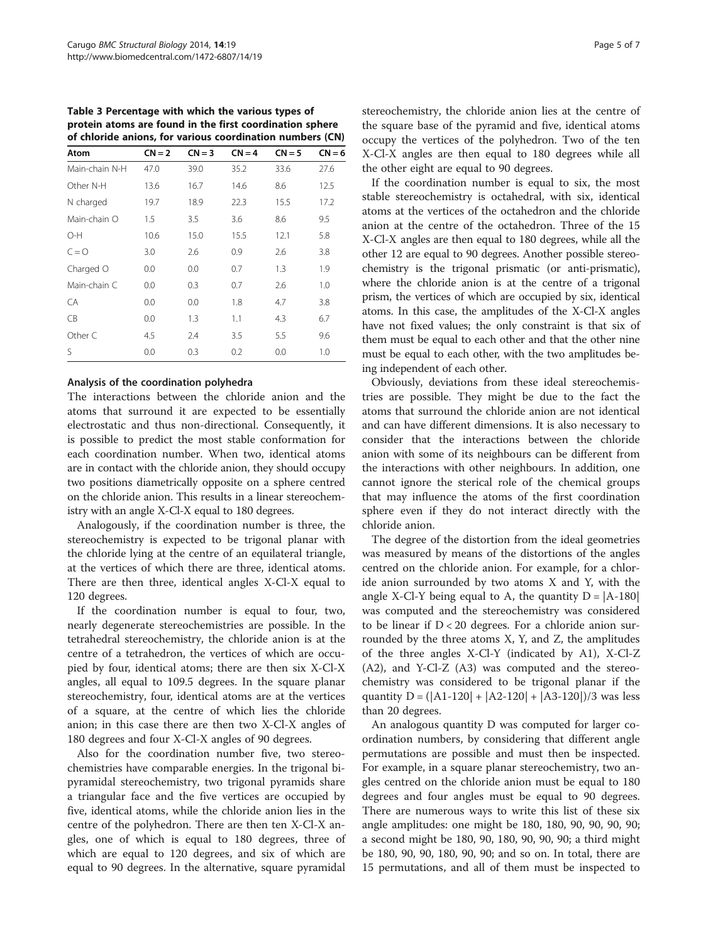<span id="page-4-0"></span>Table 3 Percentage with which the various types of protein atoms are found in the first coordination sphere of chloride anions, for various coordination numbers (CN)

| Atom           | $CN = 2$ | $CN = 3$ | $CN = 4$ | $CN = 5$ | $CN = 6$ |
|----------------|----------|----------|----------|----------|----------|
| Main-chain N-H | 47.0     | 39.0     | 35.2     | 33.6     | 27.6     |
| Other N-H      | 13.6     | 16.7     | 14.6     | 8.6      | 12.5     |
| N charged      | 19.7     | 18.9     | 22.3     | 15.5     | 17.2     |
| Main-chain O   | 1.5      | 3.5      | 3.6      | 8.6      | 9.5      |
| O-H            | 10.6     | 15.0     | 15.5     | 12.1     | 5.8      |
| $C = Q$        | 3.0      | 2.6      | 0.9      | 2.6      | 3.8      |
| Charged O      | 0.0      | 0.0      | 0.7      | 1.3      | 1.9      |
| Main-chain C   | 0.0      | 0.3      | 0.7      | 2.6      | 1.0      |
| CA             | 0.0      | 0.0      | 1.8      | 4.7      | 3.8      |
| CB             | 0.0      | 1.3      | 1.1      | 4.3      | 6.7      |
| Other C        | 4.5      | 2.4      | 3.5      | 5.5      | 9.6      |
| S              | 0.0      | 0.3      | 0.2      | 0.0      | 1.0      |

#### Analysis of the coordination polyhedra

The interactions between the chloride anion and the atoms that surround it are expected to be essentially electrostatic and thus non-directional. Consequently, it is possible to predict the most stable conformation for each coordination number. When two, identical atoms are in contact with the chloride anion, they should occupy two positions diametrically opposite on a sphere centred on the chloride anion. This results in a linear stereochemistry with an angle X-Cl-X equal to 180 degrees.

Analogously, if the coordination number is three, the stereochemistry is expected to be trigonal planar with the chloride lying at the centre of an equilateral triangle, at the vertices of which there are three, identical atoms. There are then three, identical angles X-Cl-X equal to 120 degrees.

If the coordination number is equal to four, two, nearly degenerate stereochemistries are possible. In the tetrahedral stereochemistry, the chloride anion is at the centre of a tetrahedron, the vertices of which are occupied by four, identical atoms; there are then six X-Cl-X angles, all equal to 109.5 degrees. In the square planar stereochemistry, four, identical atoms are at the vertices of a square, at the centre of which lies the chloride anion; in this case there are then two X-Cl-X angles of 180 degrees and four X-Cl-X angles of 90 degrees.

Also for the coordination number five, two stereochemistries have comparable energies. In the trigonal bipyramidal stereochemistry, two trigonal pyramids share a triangular face and the five vertices are occupied by five, identical atoms, while the chloride anion lies in the centre of the polyhedron. There are then ten X-Cl-X angles, one of which is equal to 180 degrees, three of which are equal to 120 degrees, and six of which are equal to 90 degrees. In the alternative, square pyramidal

stereochemistry, the chloride anion lies at the centre of the square base of the pyramid and five, identical atoms occupy the vertices of the polyhedron. Two of the ten X-Cl-X angles are then equal to 180 degrees while all the other eight are equal to 90 degrees.

If the coordination number is equal to six, the most stable stereochemistry is octahedral, with six, identical atoms at the vertices of the octahedron and the chloride anion at the centre of the octahedron. Three of the 15 X-Cl-X angles are then equal to 180 degrees, while all the other 12 are equal to 90 degrees. Another possible stereochemistry is the trigonal prismatic (or anti-prismatic), where the chloride anion is at the centre of a trigonal prism, the vertices of which are occupied by six, identical atoms. In this case, the amplitudes of the X-Cl-X angles have not fixed values; the only constraint is that six of them must be equal to each other and that the other nine must be equal to each other, with the two amplitudes being independent of each other.

Obviously, deviations from these ideal stereochemistries are possible. They might be due to the fact the atoms that surround the chloride anion are not identical and can have different dimensions. It is also necessary to consider that the interactions between the chloride anion with some of its neighbours can be different from the interactions with other neighbours. In addition, one cannot ignore the sterical role of the chemical groups that may influence the atoms of the first coordination sphere even if they do not interact directly with the chloride anion.

The degree of the distortion from the ideal geometries was measured by means of the distortions of the angles centred on the chloride anion. For example, for a chloride anion surrounded by two atoms X and Y, with the angle X-Cl-Y being equal to A, the quantity  $D = |A-180|$ was computed and the stereochemistry was considered to be linear if  $D < 20$  degrees. For a chloride anion surrounded by the three atoms X, Y, and Z, the amplitudes of the three angles X-Cl-Y (indicated by A1), X-Cl-Z (A2), and Y-Cl-Z (A3) was computed and the stereochemistry was considered to be trigonal planar if the quantity  $D = (|A1-120| + |A2-120| + |A3-120|)/3$  was less than 20 degrees.

An analogous quantity D was computed for larger coordination numbers, by considering that different angle permutations are possible and must then be inspected. For example, in a square planar stereochemistry, two angles centred on the chloride anion must be equal to 180 degrees and four angles must be equal to 90 degrees. There are numerous ways to write this list of these six angle amplitudes: one might be 180, 180, 90, 90, 90, 90; a second might be 180, 90, 180, 90, 90, 90; a third might be 180, 90, 90, 180, 90, 90; and so on. In total, there are 15 permutations, and all of them must be inspected to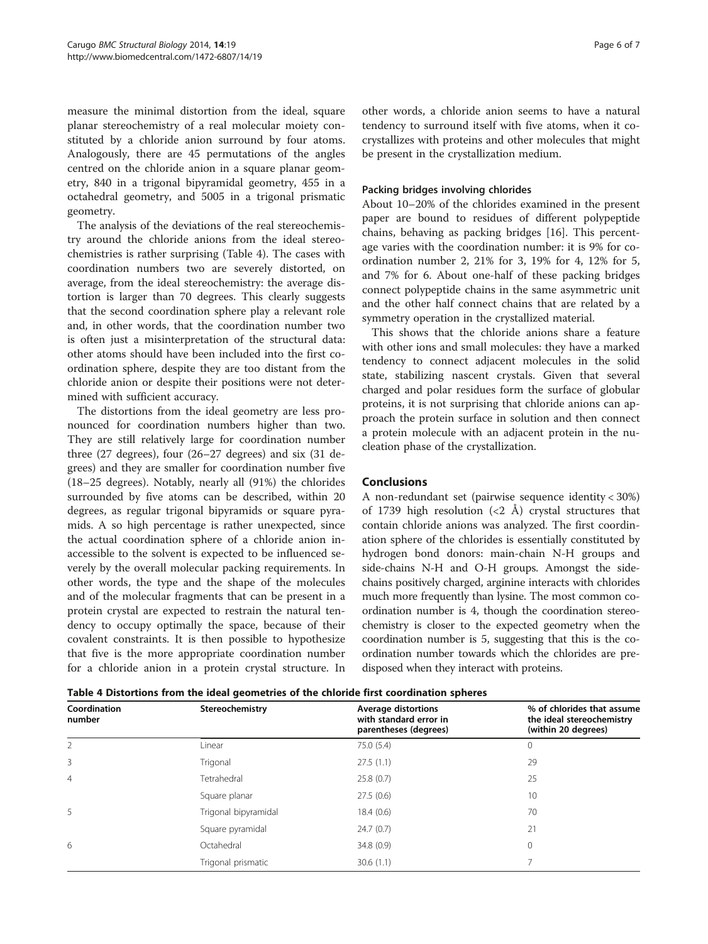measure the minimal distortion from the ideal, square planar stereochemistry of a real molecular moiety constituted by a chloride anion surround by four atoms. Analogously, there are 45 permutations of the angles centred on the chloride anion in a square planar geometry, 840 in a trigonal bipyramidal geometry, 455 in a octahedral geometry, and 5005 in a trigonal prismatic geometry.

The analysis of the deviations of the real stereochemistry around the chloride anions from the ideal stereochemistries is rather surprising (Table 4). The cases with coordination numbers two are severely distorted, on average, from the ideal stereochemistry: the average distortion is larger than 70 degrees. This clearly suggests that the second coordination sphere play a relevant role and, in other words, that the coordination number two is often just a misinterpretation of the structural data: other atoms should have been included into the first coordination sphere, despite they are too distant from the chloride anion or despite their positions were not determined with sufficient accuracy.

The distortions from the ideal geometry are less pronounced for coordination numbers higher than two. They are still relatively large for coordination number three (27 degrees), four (26–27 degrees) and six (31 degrees) and they are smaller for coordination number five (18–25 degrees). Notably, nearly all (91%) the chlorides surrounded by five atoms can be described, within 20 degrees, as regular trigonal bipyramids or square pyramids. A so high percentage is rather unexpected, since the actual coordination sphere of a chloride anion inaccessible to the solvent is expected to be influenced severely by the overall molecular packing requirements. In other words, the type and the shape of the molecules and of the molecular fragments that can be present in a protein crystal are expected to restrain the natural tendency to occupy optimally the space, because of their covalent constraints. It is then possible to hypothesize that five is the more appropriate coordination number for a chloride anion in a protein crystal structure. In other words, a chloride anion seems to have a natural tendency to surround itself with five atoms, when it cocrystallizes with proteins and other molecules that might be present in the crystallization medium.

#### Packing bridges involving chlorides

About 10–20% of the chlorides examined in the present paper are bound to residues of different polypeptide chains, behaving as packing bridges [[16\]](#page-6-0). This percentage varies with the coordination number: it is 9% for coordination number 2, 21% for 3, 19% for 4, 12% for 5, and 7% for 6. About one-half of these packing bridges connect polypeptide chains in the same asymmetric unit and the other half connect chains that are related by a symmetry operation in the crystallized material.

This shows that the chloride anions share a feature with other ions and small molecules: they have a marked tendency to connect adjacent molecules in the solid state, stabilizing nascent crystals. Given that several charged and polar residues form the surface of globular proteins, it is not surprising that chloride anions can approach the protein surface in solution and then connect a protein molecule with an adjacent protein in the nucleation phase of the crystallization.

## Conclusions

A non-redundant set (pairwise sequence identity < 30%) of 1739 high resolution  $\left( < 2 \text{ Å} \right)$  crystal structures that contain chloride anions was analyzed. The first coordination sphere of the chlorides is essentially constituted by hydrogen bond donors: main-chain N-H groups and side-chains N-H and O-H groups. Amongst the sidechains positively charged, arginine interacts with chlorides much more frequently than lysine. The most common coordination number is 4, though the coordination stereochemistry is closer to the expected geometry when the coordination number is 5, suggesting that this is the coordination number towards which the chlorides are predisposed when they interact with proteins.

Table 4 Distortions from the ideal geometries of the chloride first coordination spheres

| Coordination<br>number | Stereochemistry      | <b>Average distortions</b><br>with standard error in<br>parentheses (degrees) | % of chlorides that assume<br>the ideal stereochemistry<br>(within 20 degrees) |
|------------------------|----------------------|-------------------------------------------------------------------------------|--------------------------------------------------------------------------------|
| 2                      | Linear               | 75.0 (5.4)                                                                    | 0                                                                              |
| 3                      | Trigonal             | 27.5(1.1)                                                                     | 29                                                                             |
| $\overline{4}$         | Tetrahedral          | 25.8(0.7)                                                                     | 25                                                                             |
|                        | Square planar        | 27.5(0.6)                                                                     | 10                                                                             |
| 5                      | Trigonal bipyramidal | 18.4(0.6)                                                                     | 70                                                                             |
|                        | Square pyramidal     | 24.7(0.7)                                                                     | 21                                                                             |
| 6                      | Octahedral           | 34.8 (0.9)                                                                    | 0                                                                              |
|                        | Trigonal prismatic   | 30.6(1.1)                                                                     |                                                                                |